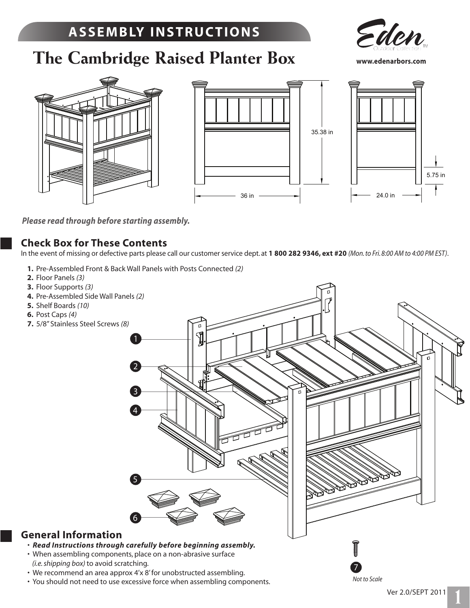# **A S S E M B LY I N S T R U C T I O N S**

**The Cambridge Raised Planter Box**



**www.edenarbors.com** 







*Please read through before starting assembly.*

#### **Check Box for These Contents**

In the event of missing or defective parts please call our customer service dept. at **1 800 282 9346, ext #20** *(Mon. to Fri. 8:00 AM to 4:00 PM EST)*.

 **1.** Pre-Assembled Front & Back Wall Panels with Posts Connected *(2)*

1

4

3

2

- **2.** Floor Panels *(3)*
- **3.** Floor Supports *(3)*
- **4.** Pre-Assembled Side Wall Panels *(2)*
- **5.** Shelf Boards *(10)*
- **6.** Post Caps *(4)*
- **7.** 5/8" Stainless Steel Screws *(8)*

5 6

### **General Information**

- *Read Instructions through carefully before beginning assembly.*
- When assembling components, place on a non-abrasive surface  *(i.e. shipping box)* to avoid scratching.
- We recommend an area approx 4'x 8' for unobstructed assembling.
- You should not need to use excessive force when assembling components.

7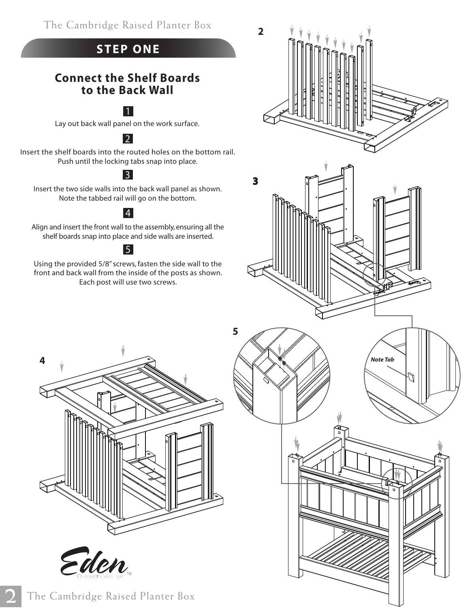The Cambridge Raised Planter Box

# **STEP ONE**

## **Connect the Shelf Boards to the Back Wall**

### 1

Lay out back wall panel on the work surface.

### 2

Insert the shelf boards into the routed holes on the bottom rail. Push until the locking tabs snap into place.

# 3

Insert the two side walls into the back wall panel as shown. Note the tabbed rail will go on the bottom.

# 4

Align and insert the front wall to the assembly, ensuring all the shelf boards snap into place and side walls are inserted.

### 5

Using the provided 5/8" screws, fasten the side wall to the front and back wall from the inside of the posts as shown. Each post will use two screws.







**2**